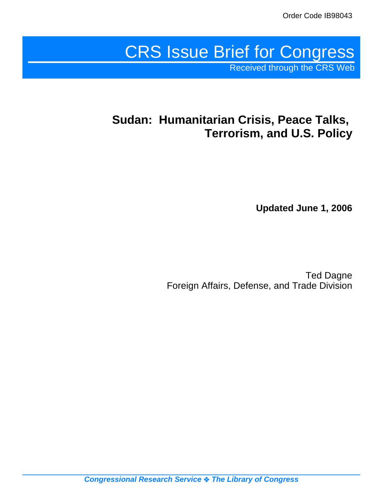# CRS Issue Brief for Congress Received through the CRS Web

# **Sudan: Humanitarian Crisis, Peace Talks, Terrorism, and U.S. Policy**

**Updated June 1, 2006**

Ted Dagne Foreign Affairs, Defense, and Trade Division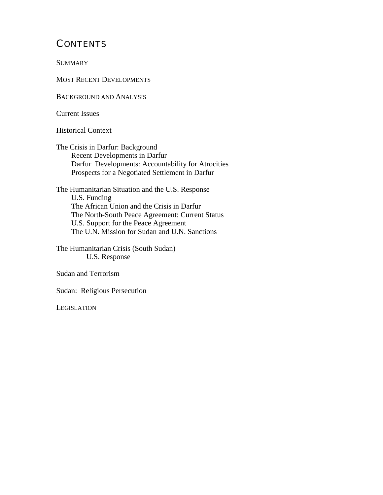# **CONTENTS**

**SUMMARY** 

MOST RECENT DEVELOPMENTS

BACKGROUND AND ANALYSIS

Current Issues

Historical Context

The Crisis in Darfur: Background Recent Developments in Darfur Darfur Developments: Accountability for Atrocities Prospects for a Negotiated Settlement in Darfur

The Humanitarian Situation and the U.S. Response U.S. Funding The African Union and the Crisis in Darfur The North-South Peace Agreement: Current Status U.S. Support for the Peace Agreement The U.N. Mission for Sudan and U.N. Sanctions

The Humanitarian Crisis (South Sudan) U.S. Response

Sudan and Terrorism

Sudan: Religious Persecution

LEGISLATION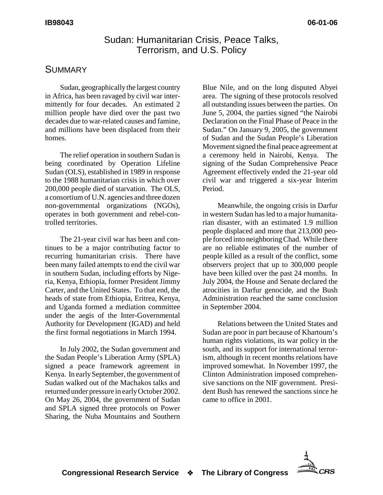### Sudan: Humanitarian Crisis, Peace Talks, Terrorism, and U.S. Policy

## **SUMMARY**

Sudan, geographically the largest country in Africa, has been ravaged by civil war intermittently for four decades. An estimated 2 million people have died over the past two decades due to war-related causes and famine, and millions have been displaced from their homes.

The relief operation in southern Sudan is being coordinated by Operation Lifeline Sudan (OLS), established in 1989 in response to the 1988 humanitarian crisis in which over 200,000 people died of starvation. The OLS, a consortium of U.N. agencies and three dozen non-governmental organizations (NGOs), operates in both government and rebel-controlled territories.

The 21-year civil war has been and continues to be a major contributing factor to recurring humanitarian crisis. There have been many failed attempts to end the civil war in southern Sudan, including efforts by Nigeria, Kenya, Ethiopia, former President Jimmy Carter, and the United States. To that end, the heads of state from Ethiopia, Eritrea, Kenya, and Uganda formed a mediation committee under the aegis of the Inter-Governmental Authority for Development (IGAD) and held the first formal negotiations in March 1994.

In July 2002, the Sudan government and the Sudan People's Liberation Army (SPLA) signed a peace framework agreement in Kenya. In early September, the government of Sudan walked out of the Machakos talks and returned under pressure in early October 2002. On May 26, 2004, the government of Sudan and SPLA signed three protocols on Power Sharing, the Nuba Mountains and Southern

Blue Nile, and on the long disputed Abyei area. The signing of these protocols resolved all outstanding issues between the parties. On June 5, 2004, the parties signed "the Nairobi Declaration on the Final Phase of Peace in the Sudan." On January 9, 2005, the government of Sudan and the Sudan People's Liberation Movement signed the final peace agreement at a ceremony held in Nairobi, Kenya. The signing of the Sudan Comprehensive Peace Agreement effectively ended the 21-year old civil war and triggered a six-year Interim Period.

Meanwhile, the ongoing crisis in Darfur in western Sudan has led to a major humanitarian disaster, with an estimated 1.9 million people displaced and more that 213,000 people forced into neighboring Chad. While there are no reliable estimates of the number of people killed as a result of the conflict, some observers project that up to 300,000 people have been killed over the past 24 months. In July 2004, the House and Senate declared the atrocities in Darfur genocide, and the Bush Administration reached the same conclusion in September 2004.

Relations between the United States and Sudan are poor in part because of Khartoum's human rights violations, its war policy in the south, and its support for international terrorism, although in recent months relations have improved somewhat. In November 1997, the Clinton Administration imposed comprehensive sanctions on the NIF government. President Bush has renewed the sanctions since he came to office in 2001.

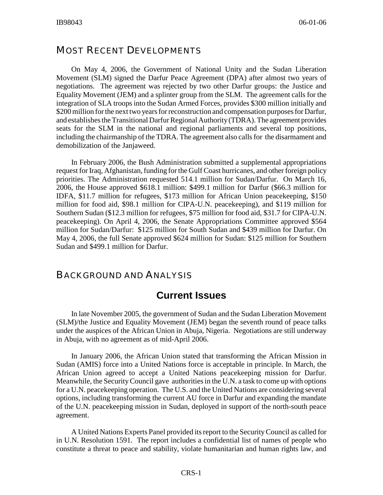#### MOST RECENT DEVELOPMENTS

On May 4, 2006, the Government of National Unity and the Sudan Liberation Movement (SLM) signed the Darfur Peace Agreement (DPA) after almost two years of negotiations. The agreement was rejected by two other Darfur groups: the Justice and Equality Movement (JEM) and a splinter group from the SLM. The agreement calls for the integration of SLA troops into the Sudan Armed Forces, provides \$300 million initially and \$200 million for the next two years for reconstruction and compensation purposes for Darfur, and establishes the Transitional Darfur Regional Authority (TDRA). The agreement provides seats for the SLM in the national and regional parliaments and several top positions, including the chairmanship of the TDRA. The agreement also calls for the disarmament and demobilization of the Janjaweed.

In February 2006, the Bush Administration submitted a supplemental appropriations request for Iraq, Afghanistan, funding for the Gulf Coast hurricanes, and other foreign policy priorities. The Administration requested 514.1 million for Sudan/Darfur. On March 16, 2006, the House approved \$618.1 million: \$499.1 million for Darfur (\$66.3 million for IDFA, \$11.7 million for refugees, \$173 million for African Union peacekeeping, \$150 million for food aid, \$98.1 million for CIPA-U.N. peacekeeping), and \$119 million for Southern Sudan (\$12.3 million for refugees, \$75 million for food aid, \$31.7 for CIPA-U.N. peacekeeping). On April 4, 2006, the Senate Appropriations Committee approved \$564 million for Sudan/Darfur: \$125 million for South Sudan and \$439 million for Darfur. On May 4, 2006, the full Senate approved \$624 million for Sudan: \$125 million for Southern Sudan and \$499.1 million for Darfur.

#### BACKGROUND AND ANALYSIS

## **Current Issues**

In late November 2005, the government of Sudan and the Sudan Liberation Movement (SLM)/the Justice and Equality Movement (JEM) began the seventh round of peace talks under the auspices of the African Union in Abuja, Nigeria. Negotiations are still underway in Abuja, with no agreement as of mid-April 2006.

In January 2006, the African Union stated that transforming the African Mission in Sudan (AMIS) force into a United Nations force is acceptable in principle. In March, the African Union agreed to accept a United Nations peacekeeping mission for Darfur. Meanwhile, the Security Council gave authorities in the U.N. a task to come up with options for a U.N. peacekeeping operation. The U.S. and the United Nations are considering several options, including transforming the current AU force in Darfur and expanding the mandate of the U.N. peacekeeping mission in Sudan, deployed in support of the north-south peace agreement.

A United Nations Experts Panel provided its report to the Security Council as called for in U.N. Resolution 1591. The report includes a confidential list of names of people who constitute a threat to peace and stability, violate humanitarian and human rights law, and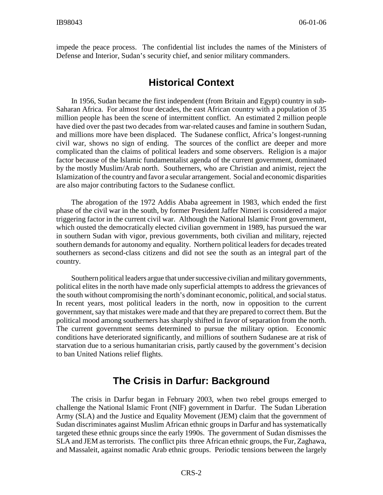impede the peace process. The confidential list includes the names of the Ministers of Defense and Interior, Sudan's security chief, and senior military commanders.

# **Historical Context**

In 1956, Sudan became the first independent (from Britain and Egypt) country in sub-Saharan Africa. For almost four decades, the east African country with a population of 35 million people has been the scene of intermittent conflict. An estimated 2 million people have died over the past two decades from war-related causes and famine in southern Sudan, and millions more have been displaced. The Sudanese conflict, Africa's longest-running civil war, shows no sign of ending. The sources of the conflict are deeper and more complicated than the claims of political leaders and some observers. Religion is a major factor because of the Islamic fundamentalist agenda of the current government, dominated by the mostly Muslim/Arab north. Southerners, who are Christian and animist, reject the Islamization of the country and favor a secular arrangement. Social and economic disparities are also major contributing factors to the Sudanese conflict.

The abrogation of the 1972 Addis Ababa agreement in 1983, which ended the first phase of the civil war in the south, by former President Jaffer Nimeri is considered a major triggering factor in the current civil war. Although the National Islamic Front government, which ousted the democratically elected civilian government in 1989, has pursued the war in southern Sudan with vigor, previous governments, both civilian and military, rejected southern demands for autonomy and equality. Northern political leaders for decades treated southerners as second-class citizens and did not see the south as an integral part of the country.

Southern political leaders argue that under successive civilian and military governments, political elites in the north have made only superficial attempts to address the grievances of the south without compromising the north's dominant economic, political, and social status. In recent years, most political leaders in the north, now in opposition to the current government, say that mistakes were made and that they are prepared to correct them. But the political mood among southerners has sharply shifted in favor of separation from the north. The current government seems determined to pursue the military option. Economic conditions have deteriorated significantly, and millions of southern Sudanese are at risk of starvation due to a serious humanitarian crisis, partly caused by the government's decision to ban United Nations relief flights.

# **The Crisis in Darfur: Background**

The crisis in Darfur began in February 2003, when two rebel groups emerged to challenge the National Islamic Front (NIF) government in Darfur. The Sudan Liberation Army (SLA) and the Justice and Equality Movement (JEM) claim that the government of Sudan discriminates against Muslim African ethnic groups in Darfur and has systematically targeted these ethnic groups since the early 1990s. The government of Sudan dismisses the SLA and JEM as terrorists. The conflict pits three African ethnic groups, the Fur, Zaghawa, and Massaleit, against nomadic Arab ethnic groups. Periodic tensions between the largely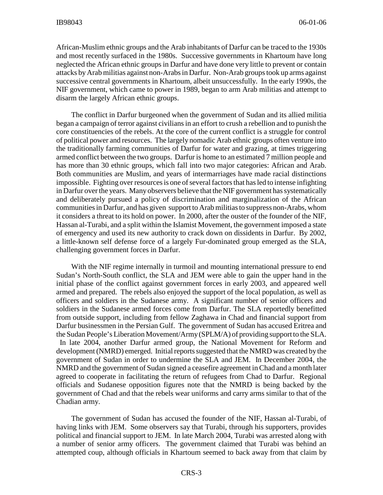African-Muslim ethnic groups and the Arab inhabitants of Darfur can be traced to the 1930s and most recently surfaced in the 1980s. Successive governments in Khartoum have long neglected the African ethnic groups in Darfur and have done very little to prevent or contain attacks by Arab militias against non-Arabs in Darfur. Non-Arab groups took up arms against successive central governments in Khartoum, albeit unsuccessfully. In the early 1990s, the NIF government, which came to power in 1989, began to arm Arab militias and attempt to disarm the largely African ethnic groups.

The conflict in Darfur burgeoned when the government of Sudan and its allied militia began a campaign of terror against civilians in an effort to crush a rebellion and to punish the core constituencies of the rebels. At the core of the current conflict is a struggle for control of political power and resources. The largely nomadic Arab ethnic groups often venture into the traditionally farming communities of Darfur for water and grazing, at times triggering armed conflict between the two groups. Darfur is home to an estimated 7 million people and has more than 30 ethnic groups, which fall into two major categories: African and Arab. Both communities are Muslim, and years of intermarriages have made racial distinctions impossible. Fighting over resources is one of several factors that has led to intense infighting in Darfur over the years. Many observers believe that the NIF government has systematically and deliberately pursued a policy of discrimination and marginalization of the African communities in Darfur, and has given support to Arab militias to suppress non-Arabs, whom it considers a threat to its hold on power. In 2000, after the ouster of the founder of the NIF, Hassan al-Turabi, and a split within the Islamist Movement, the government imposed a state of emergency and used its new authority to crack down on dissidents in Darfur. By 2002, a little-known self defense force of a largely Fur-dominated group emerged as the SLA, challenging government forces in Darfur.

With the NIF regime internally in turmoil and mounting international pressure to end Sudan's North-South conflict, the SLA and JEM were able to gain the upper hand in the initial phase of the conflict against government forces in early 2003, and appeared well armed and prepared. The rebels also enjoyed the support of the local population, as well as officers and soldiers in the Sudanese army. A significant number of senior officers and soldiers in the Sudanese armed forces come from Darfur. The SLA reportedly benefitted from outside support, including from fellow Zaghawa in Chad and financial support from Darfur businessmen in the Persian Gulf. The government of Sudan has accused Eritrea and the Sudan People's Liberation Movement/Army (SPLM/A) of providing support to the SLA. In late 2004, another Darfur armed group, the National Movement for Reform and development (NMRD) emerged. Initial reports suggested that the NMRD was created by the government of Sudan in order to undermine the SLA and JEM. In December 2004, the NMRD and the government of Sudan signed a ceasefire agreement in Chad and a month later agreed to cooperate in facilitating the return of refugees from Chad to Darfur. Regional officials and Sudanese opposition figures note that the NMRD is being backed by the government of Chad and that the rebels wear uniforms and carry arms similar to that of the Chadian army.

The government of Sudan has accused the founder of the NIF, Hassan al-Turabi, of having links with JEM. Some observers say that Turabi, through his supporters, provides political and financial support to JEM. In late March 2004, Turabi was arrested along with a number of senior army officers. The government claimed that Turabi was behind an attempted coup, although officials in Khartoum seemed to back away from that claim by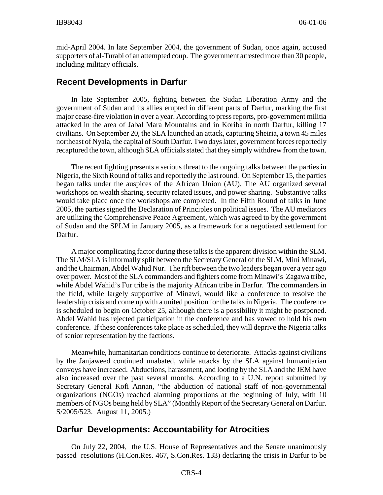mid-April 2004. In late September 2004, the government of Sudan, once again, accused supporters of al-Turabi of an attempted coup. The government arrested more than 30 people, including military officials.

#### **Recent Developments in Darfur**

In late September 2005, fighting between the Sudan Liberation Army and the government of Sudan and its allies erupted in different parts of Darfur, marking the first major cease-fire violation in over a year. According to press reports, pro-government militia attacked in the area of Jabal Mara Mountains and in Koriba in north Darfur, killing 17 civilians. On September 20, the SLA launched an attack, capturing Sheiria, a town 45 miles northeast of Nyala, the capital of South Darfur. Two days later, government forces reportedly recaptured the town, although SLA officials stated that they simply withdrew from the town.

The recent fighting presents a serious threat to the ongoing talks between the parties in Nigeria, the Sixth Round of talks and reportedly the last round. On September 15, the parties began talks under the auspices of the African Union (AU). The AU organized several workshops on wealth sharing, security related issues, and power sharing. Substantive talks would take place once the workshops are completed. In the Fifth Round of talks in June 2005, the parties signed the Declaration of Principles on political issues. The AU mediators are utilizing the Comprehensive Peace Agreement, which was agreed to by the government of Sudan and the SPLM in January 2005, as a framework for a negotiated settlement for Darfur.

A major complicating factor during these talks is the apparent division within the SLM. The SLM/SLA is informally split between the Secretary General of the SLM, Mini Minawi, and the Chairman, Abdel Wahid Nur. The rift between the two leaders began over a year ago over power. Most of the SLA commanders and fighters come from Minawi's Zagawa tribe, while Abdel Wahid's Fur tribe is the majority African tribe in Darfur. The commanders in the field, while largely supportive of Minawi, would like a conference to resolve the leadership crisis and come up with a united position for the talks in Nigeria. The conference is scheduled to begin on October 25, although there is a possibility it might be postponed. Abdel Wahid has rejected participation in the conference and has vowed to hold his own conference. If these conferences take place as scheduled, they will deprive the Nigeria talks of senior representation by the factions.

Meanwhile, humanitarian conditions continue to deteriorate. Attacks against civilians by the Janjaweed continued unabated, while attacks by the SLA against humanitarian convoys have increased. Abductions, harassment, and looting by the SLA and the JEM have also increased over the past several months. According to a U.N. report submitted by Secretary General Kofi Annan, "the abduction of national staff of non-governmental organizations (NGOs) reached alarming proportions at the beginning of July, with 10 members of NGOs being held by SLA" (Monthly Report of the Secretary General on Darfur. S/2005/523. August 11, 2005.)

#### **Darfur Developments: Accountability for Atrocities**

On July 22, 2004, the U.S. House of Representatives and the Senate unanimously passed resolutions (H.Con.Res. 467, S.Con.Res. 133) declaring the crisis in Darfur to be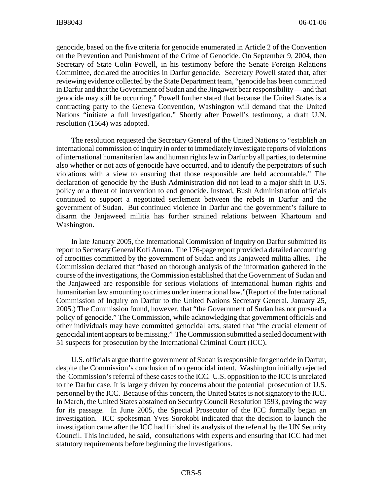genocide, based on the five criteria for genocide enumerated in Article 2 of the Convention on the Prevention and Punishment of the Crime of Genocide. On September 9, 2004, then Secretary of State Colin Powell, in his testimony before the Senate Foreign Relations Committee, declared the atrocities in Darfur genocide. Secretary Powell stated that, after reviewing evidence collected by the State Department team, "genocide has been committed in Darfur and that the Government of Sudan and the Jingaweit bear responsibility — and that genocide may still be occurring." Powell further stated that because the United States is a contracting party to the Geneva Convention, Washington will demand that the United Nations "initiate a full investigation." Shortly after Powell's testimony, a draft U.N. resolution (1564) was adopted.

The resolution requested the Secretary General of the United Nations to "establish an international commission of inquiry in order to immediately investigate reports of violations of international humanitarian law and human rights law in Darfur by all parties, to determine also whether or not acts of genocide have occurred, and to identify the perpetrators of such violations with a view to ensuring that those responsible are held accountable." The declaration of genocide by the Bush Administration did not lead to a major shift in U.S. policy or a threat of intervention to end genocide. Instead, Bush Administration officials continued to support a negotiated settlement between the rebels in Darfur and the government of Sudan. But continued violence in Darfur and the government's failure to disarm the Janjaweed militia has further strained relations between Khartoum and Washington.

In late January 2005, the International Commission of Inquiry on Darfur submitted its report to Secretary General Kofi Annan. The 176-page report provided a detailed accounting of atrocities committed by the government of Sudan and its Janjaweed militia allies. The Commission declared that "based on thorough analysis of the information gathered in the course of the investigations, the Commission established that the Government of Sudan and the Janjaweed are responsible for serious violations of international human rights and humanitarian law amounting to crimes under international law."(Report of the International Commission of Inquiry on Darfur to the United Nations Secretary General. January 25, 2005.) The Commission found, however, that "the Government of Sudan has not pursued a policy of genocide." The Commission, while acknowledging that government officials and other individuals may have committed genocidal acts, stated that "the crucial element of genocidal intent appears to be missing." The Commission submitted a sealed document with 51 suspects for prosecution by the International Criminal Court (ICC).

U.S. officials argue that the government of Sudan is responsible for genocide in Darfur, despite the Commission's conclusion of no genocidal intent. Washington initially rejected the Commission's referral of these cases to the ICC. U.S. opposition to the ICC is unrelated to the Darfur case. It is largely driven by concerns about the potential prosecution of U.S. personnel by the ICC. Because of this concern, the United States is not signatory to the ICC. In March, the United States abstained on Security Council Resolution 1593, paving the way for its passage. In June 2005, the Special Prosecutor of the ICC formally began an investigation. ICC spokesman Yves Sorokobi indicated that the decision to launch the investigation came after the ICC had finished its analysis of the referral by the UN Security Council. This included, he said, consultations with experts and ensuring that ICC had met statutory requirements before beginning the investigations.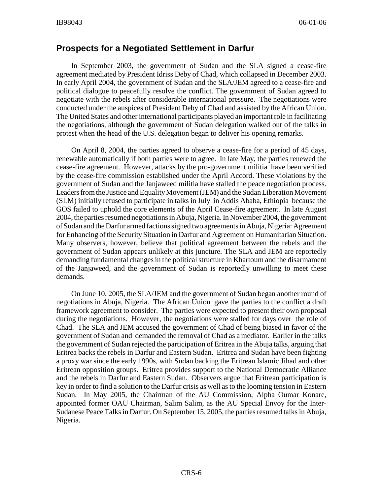#### **Prospects for a Negotiated Settlement in Darfur**

In September 2003, the government of Sudan and the SLA signed a cease-fire agreement mediated by President Idriss Deby of Chad, which collapsed in December 2003. In early April 2004, the government of Sudan and the SLA/JEM agreed to a cease-fire and political dialogue to peacefully resolve the conflict. The government of Sudan agreed to negotiate with the rebels after considerable international pressure. The negotiations were conducted under the auspices of President Deby of Chad and assisted by the African Union. The United States and other international participants played an important role in facilitating the negotiations, although the government of Sudan delegation walked out of the talks in protest when the head of the U.S. delegation began to deliver his opening remarks.

On April 8, 2004, the parties agreed to observe a cease-fire for a period of 45 days, renewable automatically if both parties were to agree. In late May, the parties renewed the cease-fire agreement. However, attacks by the pro-government militia have been verified by the cease-fire commission established under the April Accord. These violations by the government of Sudan and the Janjaweed militia have stalled the peace negotiation process. Leaders from the Justice and Equality Movement (JEM) and the Sudan Liberation Movement (SLM) initially refused to participate in talks in July in Addis Ababa, Ethiopia because the GOS failed to uphold the core elements of the April Cease-fire agreement. In late August 2004, the parties resumed negotiations in Abuja, Nigeria. In November 2004, the government of Sudan and the Darfur armed factions signed two agreements in Abuja, Nigeria: Agreement for Enhancing of the Security Situation in Darfur and Agreement on Humanitarian Situation. Many observers, however, believe that political agreement between the rebels and the government of Sudan appears unlikely at this juncture. The SLA and JEM are reportedly demanding fundamental changes in the political structure in Khartoum and the disarmament of the Janjaweed, and the government of Sudan is reportedly unwilling to meet these demands.

On June 10, 2005, the SLA/JEM and the government of Sudan began another round of negotiations in Abuja, Nigeria. The African Union gave the parties to the conflict a draft framework agreement to consider. The parties were expected to present their own proposal during the negotiations. However, the negotiations were stalled for days over the role of Chad. The SLA and JEM accused the government of Chad of being biased in favor of the government of Sudan and demanded the removal of Chad as a mediator. Earlier in the talks the government of Sudan rejected the participation of Eritrea in the Abuja talks, arguing that Eritrea backs the rebels in Darfur and Eastern Sudan. Eritrea and Sudan have been fighting a proxy war since the early 1990s, with Sudan backing the Eritrean Islamic Jihad and other Eritrean opposition groups. Eritrea provides support to the National Democratic Alliance and the rebels in Darfur and Eastern Sudan. Observers argue that Eritrean participation is key in order to find a solution to the Darfur crisis as well as to the looming tension in Eastern Sudan. In May 2005, the Chairman of the AU Commission, Alpha Oumar Konare, appointed former OAU Chairman, Salim Salim, as the AU Special Envoy for the Inter-Sudanese Peace Talks in Darfur. On September 15, 2005, the parties resumed talks in Abuja, Nigeria.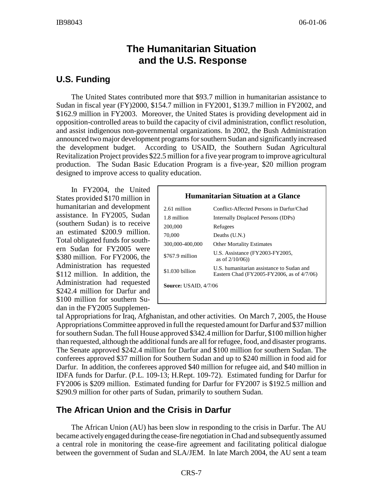# **The Humanitarian Situation and the U.S. Response**

#### **U.S. Funding**

The United States contributed more that \$93.7 million in humanitarian assistance to Sudan in fiscal year (FY)2000, \$154.7 million in FY2001, \$139.7 million in FY2002, and \$162.9 million in FY2003. Moreover, the United States is providing development aid in opposition-controlled areas to build the capacity of civil administration, conflict resolution, and assist indigenous non-governmental organizations. In 2002, the Bush Administration announced two major development programs for southern Sudan and significantly increased the development budget. According to USAID, the Southern Sudan Agricultural Revitalization Project provides \$22.5 million for a five year program to improve agricultural production. The Sudan Basic Education Program is a five-year, \$20 million program designed to improve access to quality education.

In FY2004, the United States provided \$170 million in humanitarian and development assistance. In FY2005, Sudan (southern Sudan) is to receive an estimated \$200.9 million. Total obligated funds for southern Sudan for FY2005 were \$380 million. For FY2006, the Administration has requested \$112 million. In addition, the Administration had requested \$242.4 million for Darfur and \$100 million for southern Sudan in the FY2005 Supplemen-

#### **Humanitarian Situation at a Glance** 2.61 million Conflict-Affected Persons in Darfur/Chad 1.8 million Internally Displaced Persons (IDPs) 200,000 Refugees 70,000 Deaths (U.N.) 300,000-400,000 Other Mortality Estimates \$767.9 million U.S. Assistance (FY2003-FY2005, as of 2/10/06)) \$1.030 billion U.S. humanitarian assistance to Sudan and Eastern Chad (FY2005-FY2006, as of 4/7/06) **Source:** USAID, 4/7/06

tal Appropriations for Iraq, Afghanistan, and other activities. On March 7, 2005, the House Appropriations Committee approved in full the requested amount for Darfur and \$37 million for southern Sudan. The full House approved \$342.4 million for Darfur, \$100 million higher than requested, although the additional funds are all for refugee, food, and disaster programs. The Senate approved \$242.4 million for Darfur and \$100 million for southern Sudan. The conferees approved \$37 million for Southern Sudan and up to \$240 million in food aid for Darfur. In addition, the conferees approved \$40 million for refugee aid, and \$40 million in IDFA funds for Darfur. (P.L. 109-13; H.Rept. 109-72). Estimated funding for Darfur for FY2006 is \$209 million. Estimated funding for Darfur for FY2007 is \$192.5 million and \$290.9 million for other parts of Sudan, primarily to southern Sudan.

## **The African Union and the Crisis in Darfur**

The African Union (AU) has been slow in responding to the crisis in Darfur. The AU became actively engaged during the cease-fire negotiation in Chad and subsequently assumed a central role in monitoring the cease-fire agreement and facilitating political dialogue between the government of Sudan and SLA/JEM. In late March 2004, the AU sent a team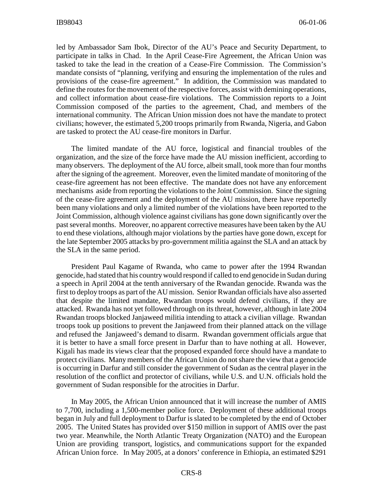led by Ambassador Sam Ibok, Director of the AU's Peace and Security Department, to participate in talks in Chad. In the April Cease-Fire Agreement, the African Union was tasked to take the lead in the creation of a Cease-Fire Commission. The Commission's mandate consists of "planning, verifying and ensuring the implementation of the rules and provisions of the cease-fire agreement." In addition, the Commission was mandated to define the routes for the movement of the respective forces, assist with demining operations, and collect information about cease-fire violations. The Commission reports to a Joint Commission composed of the parties to the agreement, Chad, and members of the international community. The African Union mission does not have the mandate to protect civilians; however, the estimated 5,200 troops primarily from Rwanda, Nigeria, and Gabon are tasked to protect the AU cease-fire monitors in Darfur.

The limited mandate of the AU force, logistical and financial troubles of the organization, and the size of the force have made the AU mission inefficient, according to many observers. The deployment of the AU force, albeit small, took more than four months after the signing of the agreement. Moreover, even the limited mandate of monitoring of the cease-fire agreement has not been effective. The mandate does not have any enforcement mechanisms aside from reporting the violations to the Joint Commission. Since the signing of the cease-fire agreement and the deployment of the AU mission, there have reportedly been many violations and only a limited number of the violations have been reported to the Joint Commission, although violence against civilians has gone down significantly over the past several months. Moreover, no apparent corrective measures have been taken by the AU to end these violations, although major violations by the parties have gone down, except for the late September 2005 attacks by pro-government militia against the SLA and an attack by the SLA in the same period.

President Paul Kagame of Rwanda, who came to power after the 1994 Rwandan genocide, had stated that his country would respond if called to end genocide in Sudan during a speech in April 2004 at the tenth anniversary of the Rwandan genocide. Rwanda was the first to deploy troops as part of the AU mission. Senior Rwandan officials have also asserted that despite the limited mandate, Rwandan troops would defend civilians, if they are attacked. Rwanda has not yet followed through on its threat, however, although in late 2004 Rwandan troops blocked Janjaweed militia intending to attack a civilian village. Rwandan troops took up positions to prevent the Janjaweed from their planned attack on the village and refused the Janjaweed's demand to disarm. Rwandan government officials argue that it is better to have a small force present in Darfur than to have nothing at all. However, Kigali has made its views clear that the proposed expanded force should have a mandate to protect civilians. Many members of the African Union do not share the view that a genocide is occurring in Darfur and still consider the government of Sudan as the central player in the resolution of the conflict and protector of civilians, while U.S. and U.N. officials hold the government of Sudan responsible for the atrocities in Darfur.

In May 2005, the African Union announced that it will increase the number of AMIS to 7,700, including a 1,500-member police force. Deployment of these additional troops began in July and full deployment to Darfur is slated to be completed by the end of October 2005. The United States has provided over \$150 million in support of AMIS over the past two year. Meanwhile, the North Atlantic Treaty Organization (NATO) and the European Union are providing transport, logistics, and communications support for the expanded African Union force. In May 2005, at a donors' conference in Ethiopia, an estimated \$291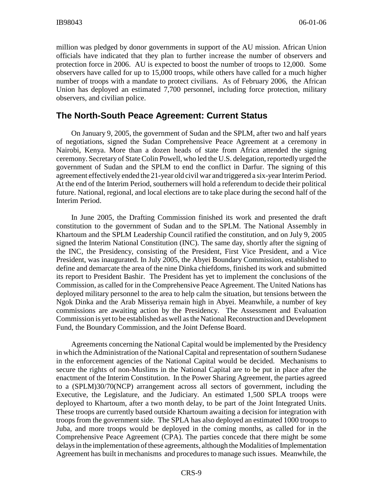million was pledged by donor governments in support of the AU mission. African Union officials have indicated that they plan to further increase the number of observers and protection force in 2006. AU is expected to boost the number of troops to 12,000. Some observers have called for up to 15,000 troops, while others have called for a much higher number of troops with a mandate to protect civilians. As of February 2006, the African Union has deployed an estimated 7,700 personnel, including force protection, military observers, and civilian police.

#### **The North-South Peace Agreement: Current Status**

On January 9, 2005, the government of Sudan and the SPLM, after two and half years of negotiations, signed the Sudan Comprehensive Peace Agreement at a ceremony in Nairobi, Kenya. More than a dozen heads of state from Africa attended the signing ceremony. Secretary of State Colin Powell, who led the U.S. delegation, reportedly urged the government of Sudan and the SPLM to end the conflict in Darfur. The signing of this agreement effectively ended the 21-year old civil war and triggered a six-year Interim Period. At the end of the Interim Period, southerners will hold a referendum to decide their political future. National, regional, and local elections are to take place during the second half of the Interim Period.

In June 2005, the Drafting Commission finished its work and presented the draft constitution to the government of Sudan and to the SPLM. The National Assembly in Khartoum and the SPLM Leadership Council ratified the constitution, and on July 9, 2005 signed the Interim National Constitution (INC). The same day, shortly after the signing of the INC, the Presidency, consisting of the President, First Vice President, and a Vice President, was inaugurated. In July 2005, the Abyei Boundary Commission, established to define and demarcate the area of the nine Dinka chiefdoms, finished its work and submitted its report to President Bashir. The President has yet to implement the conclusions of the Commission, as called for in the Comprehensive Peace Agreement. The United Nations has deployed military personnel to the area to help calm the situation, but tensions between the Ngok Dinka and the Arab Misseriya remain high in Abyei. Meanwhile, a number of key commissions are awaiting action by the Presidency. The Assessment and Evaluation Commission is yet to be established as well as the National Reconstruction and Development Fund, the Boundary Commission, and the Joint Defense Board.

Agreements concerning the National Capital would be implemented by the Presidency in which the Administration of the National Capital and representation of southern Sudanese in the enforcement agencies of the National Capital would be decided. Mechanisms to secure the rights of non-Muslims in the National Capital are to be put in place after the enactment of the Interim Constitution. In the Power Sharing Agreement, the parties agreed to a (SPLM)30/70(NCP) arrangement across all sectors of government, including the Executive, the Legislature, and the Judiciary. An estimated 1,500 SPLA troops were deployed to Khartoum, after a two month delay, to be part of the Joint Integrated Units. These troops are currently based outside Khartoum awaiting a decision for integration with troops from the government side. The SPLA has also deployed an estimated 1000 troops to Juba, and more troops would be deployed in the coming months, as called for in the Comprehensive Peace Agreement (CPA). The parties concede that there might be some delays in the implementation of these agreements, although the Modalities of Implementation Agreement has built in mechanisms and procedures to manage such issues. Meanwhile, the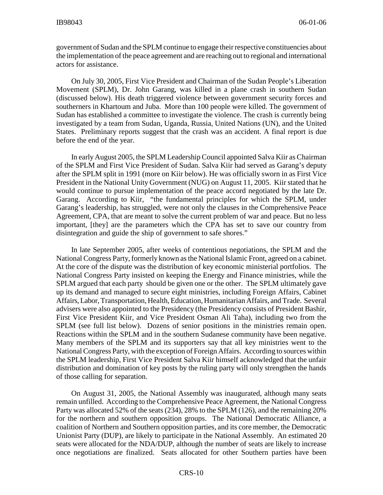government of Sudan and the SPLM continue to engage their respective constituencies about the implementation of the peace agreement and are reaching out to regional and international actors for assistance.

On July 30, 2005, First Vice President and Chairman of the Sudan People's Liberation Movement (SPLM), Dr. John Garang, was killed in a plane crash in southern Sudan (discussed below). His death triggered violence between government security forces and southerners in Khartoum and Juba. More than 100 people were killed. The government of Sudan has established a committee to investigate the violence. The crash is currently being investigated by a team from Sudan, Uganda, Russia, United Nations (UN), and the United States. Preliminary reports suggest that the crash was an accident. A final report is due before the end of the year.

In early August 2005, the SPLM Leadership Council appointed Salva Kiir as Chairman of the SPLM and First Vice President of Sudan. Salva Kiir had served as Garang's deputy after the SPLM split in 1991 (more on Kiir below). He was officially sworn in as First Vice President in the National Unity Government (NUG) on August 11, 2005. Kiir stated that he would continue to pursue implementation of the peace accord negotiated by the late Dr. Garang. According to Kiir, "the fundamental principles for which the SPLM, under Garang's leadership, has struggled, were not only the clauses in the Comprehensive Peace Agreement, CPA, that are meant to solve the current problem of war and peace. But no less important, [they] are the parameters which the CPA has set to save our country from disintegration and guide the ship of government to safe shores."

In late September 2005, after weeks of contentious negotiations, the SPLM and the National Congress Party, formerly known as the National Islamic Front, agreed on a cabinet. At the core of the dispute was the distribution of key economic ministerial portfolios. The National Congress Party insisted on keeping the Energy and Finance ministries, while the SPLM argued that each party should be given one or the other. The SPLM ultimately gave up its demand and managed to secure eight ministries, including Foreign Affairs, Cabinet Affairs, Labor, Transportation, Health, Education, Humanitarian Affairs, and Trade. Several advisers were also appointed to the Presidency (the Presidency consists of President Bashir, First Vice President Kiir, and Vice President Osman Ali Taha), including two from the SPLM (see full list below). Dozens of senior positions in the ministries remain open. Reactions within the SPLM and in the southern Sudanese community have been negative. Many members of the SPLM and its supporters say that all key ministries went to the National Congress Party, with the exception of Foreign Affairs. According to sources within the SPLM leadership, First Vice President Salva Kiir himself acknowledged that the unfair distribution and domination of key posts by the ruling party will only strengthen the hands of those calling for separation.

On August 31, 2005, the National Assembly was inaugurated, although many seats remain unfilled. According to the Comprehensive Peace Agreement, the National Congress Party was allocated 52% of the seats (234), 28% to the SPLM (126), and the remaining 20% for the northern and southern opposition groups. The National Democratic Alliance, a coalition of Northern and Southern opposition parties, and its core member, the Democratic Unionist Party (DUP), are likely to participate in the National Assembly. An estimated 20 seats were allocated for the NDA/DUP, although the number of seats are likely to increase once negotiations are finalized. Seats allocated for other Southern parties have been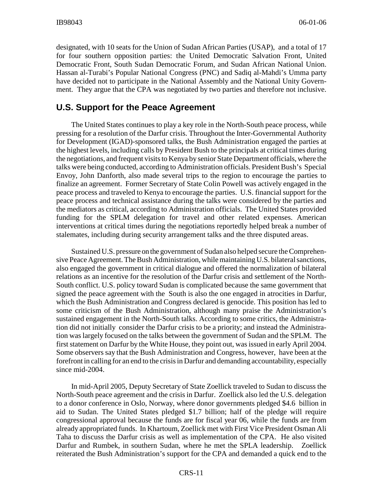designated, with 10 seats for the Union of Sudan African Parties (USAP), and a total of 17 for four southern opposition parties: the United Democratic Salvation Front, United Democratic Front, South Sudan Democratic Forum, and Sudan African National Union. Hassan al-Turabi's Popular National Congress (PNC) and Sadiq al-Mahdi's Umma party have decided not to participate in the National Assembly and the National Unity Government. They argue that the CPA was negotiated by two parties and therefore not inclusive.

#### **U.S. Support for the Peace Agreement**

The United States continues to play a key role in the North-South peace process, while pressing for a resolution of the Darfur crisis. Throughout the Inter-Governmental Authority for Development (IGAD)-sponsored talks, the Bush Administration engaged the parties at the highest levels, including calls by President Bush to the principals at critical times during the negotiations, and frequent visits to Kenya by senior State Department officials, where the talks were being conducted, according to Administration officials. President Bush's Special Envoy, John Danforth, also made several trips to the region to encourage the parties to finalize an agreement. Former Secretary of State Colin Powell was actively engaged in the peace process and traveled to Kenya to encourage the parties. U.S. financial support for the peace process and technical assistance during the talks were considered by the parties and the mediators as critical, according to Administration officials. The United States provided funding for the SPLM delegation for travel and other related expenses. American interventions at critical times during the negotiations reportedly helped break a number of stalemates, including during security arrangement talks and the three disputed areas.

Sustained U.S. pressure on the government of Sudan also helped secure the Comprehensive Peace Agreement. The Bush Administration, while maintaining U.S. bilateral sanctions, also engaged the government in critical dialogue and offered the normalization of bilateral relations as an incentive for the resolution of the Darfur crisis and settlement of the North-South conflict. U.S. policy toward Sudan is complicated because the same government that signed the peace agreement with the South is also the one engaged in atrocities in Darfur, which the Bush Administration and Congress declared is genocide. This position has led to some criticism of the Bush Administration, although many praise the Administration's sustained engagement in the North-South talks. According to some critics, the Administration did not initially consider the Darfur crisis to be a priority; and instead the Administration was largely focused on the talks between the government of Sudan and the SPLM. The first statement on Darfur by the White House, they point out, was issued in early April 2004. Some observers say that the Bush Administration and Congress, however, have been at the forefront in calling for an end to the crisis in Darfur and demanding accountability, especially since mid-2004.

In mid-April 2005, Deputy Secretary of State Zoellick traveled to Sudan to discuss the North-South peace agreement and the crisis in Darfur. Zoellick also led the U.S. delegation to a donor conference in Oslo, Norway, where donor governments pledged \$4.6 billion in aid to Sudan. The United States pledged \$1.7 billion; half of the pledge will require congressional approval because the funds are for fiscal year 06, while the funds are from already appropriated funds. In Khartoum, Zoellick met with First Vice President Osman Ali Taha to discuss the Darfur crisis as well as implementation of the CPA. He also visited Darfur and Rumbek, in southern Sudan, where he met the SPLA leadership. Zoellick reiterated the Bush Administration's support for the CPA and demanded a quick end to the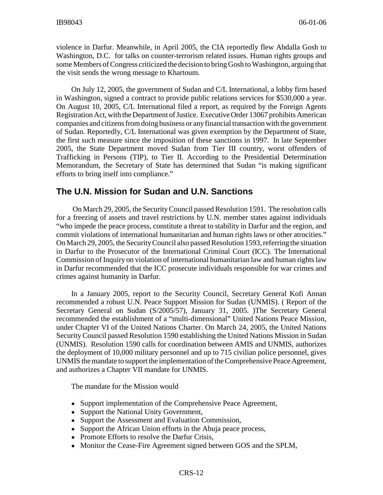violence in Darfur. Meanwhile, in April 2005, the CIA reportedly flew Abdalla Gosh to Washington, D.C. for talks on counter-terrorism related issues. Human rights groups and some Members of Congress criticized the decision to bring Gosh to Washington, arguing that the visit sends the wrong message to Khartoum.

On July 12, 2005, the government of Sudan and C/L International, a lobby firm based in Washington, signed a contract to provide public relations services for \$530,000 a year. On August 10, 2005, C/L International filed a report, as required by the Foreign Agents Registration Act, with the Department of Justice. Executive Order 13067 prohibits American companies and citizens from doing business or any financial transaction with the government of Sudan. Reportedly, C/L International was given exemption by the Department of State, the first such measure since the imposition of these sanctions in 1997. In late September 2005, the State Department moved Sudan from Tier III country, worst offenders of Trafficking in Persons (TIP), to Tier II. According to the Presidential Determination Memorandum, the Secretary of State has determined that Sudan "is making significant efforts to bring itself into compliance."

#### **The U.N. Mission for Sudan and U.N. Sanctions**

 On March 29, 2005, the Security Council passed Resolution 1591. The resolution calls for a freezing of assets and travel restrictions by U.N. member states against individuals "who impede the peace process, constitute a threat to stability in Darfur and the region, and commit violations of international humanitarian and human rights laws or other atrocities." On March 29, 2005, the Security Council also passed Resolution 1593, referring the situation in Darfur to the Prosecutor of the International Criminal Court (ICC). The International Commission of Inquiry on violation of international humanitarian law and human rights law in Darfur recommended that the ICC prosecute individuals responsible for war crimes and crimes against humanity in Darfur.

In a January 2005, report to the Security Council, Secretary General Kofi Annan recommended a robust U.N. Peace Support Mission for Sudan (UNMIS). ( Report of the Secretary General on Sudan (S/2005/57), January 31, 2005. )The Secretary General recommended the establishment of a "multi-dimensional" United Nations Peace Mission, under Chapter VI of the United Nations Charter. On March 24, 2005, the United Nations Security Council passed Resolution 1590 establishing the United Nations Mission in Sudan (UNMIS). Resolution 1590 calls for coordination between AMIS and UNMIS, authorizes the deployment of 10,000 military personnel and up to 715 civilian police personnel, gives UNMIS the mandate to support the implementation of the Comprehensive Peace Agreement, and authorizes a Chapter VII mandate for UNMIS.

The mandate for the Mission would

- ! Support implementation of the Comprehensive Peace Agreement,
- Support the National Unity Government,
- Support the Assessment and Evaluation Commission,
- Support the African Union efforts in the Abuja peace process,
- Promote Efforts to resolve the Darfur Crisis,
- Monitor the Cease-Fire Agreement signed between GOS and the SPLM,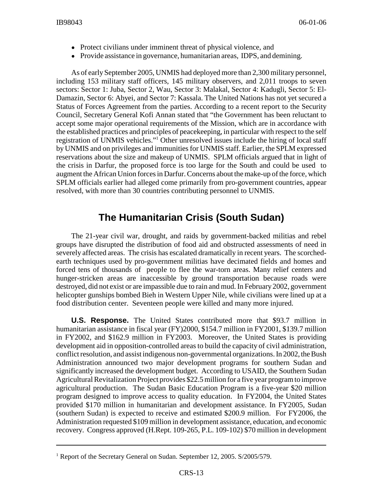- Protect civilians under imminent threat of physical violence, and
- Provide assistance in governance, humanitarian areas, IDPS, and demining.

As of early September 2005, UNMIS had deployed more than 2,300 military personnel, including 153 military staff officers, 145 military observers, and 2,011 troops to seven sectors: Sector 1: Juba, Sector 2, Wau, Sector 3: Malakal, Sector 4: Kadugli, Sector 5: El-Damazin, Sector 6: Abyei, and Sector 7: Kassala. The United Nations has not yet secured a Status of Forces Agreement from the parties. According to a recent report to the Security Council, Secretary General Kofi Annan stated that "the Government has been reluctant to accept some major operational requirements of the Mission, which are in accordance with the established practices and principles of peacekeeping, in particular with respect to the self registration of UNMIS vehicles."<sup>1</sup> Other unresolved issues include the hiring of local staff by UNMIS and on privileges and immunities for UNMIS staff. Earlier, the SPLM expressed reservations about the size and makeup of UNMIS. SPLM officials argued that in light of the crisis in Darfur, the proposed force is too large for the South and could be used to augment the African Union forces in Darfur. Concerns about the make-up of the force, which SPLM officials earlier had alleged come primarily from pro-government countries, appear resolved, with more than 30 countries contributing personnel to UNMIS.

# **The Humanitarian Crisis (South Sudan)**

The 21-year civil war, drought, and raids by government-backed militias and rebel groups have disrupted the distribution of food aid and obstructed assessments of need in severely affected areas. The crisis has escalated dramatically in recent years. The scorchedearth techniques used by pro-government militias have decimated fields and homes and forced tens of thousands of people to flee the war-torn areas. Many relief centers and hunger-stricken areas are inaccessible by ground transportation because roads were destroyed, did not exist or are impassible due to rain and mud. In February 2002, government helicopter gunships bombed Bieh in Western Upper Nile, while civilians were lined up at a food distribution center. Seventeen people were killed and many more injured.

**U.S. Response.** The United States contributed more that \$93.7 million in humanitarian assistance in fiscal year (FY)2000, \$154.7 million in FY2001, \$139.7 million in FY2002, and \$162.9 million in FY2003. Moreover, the United States is providing development aid in opposition-controlled areas to build the capacity of civil administration, conflict resolution, and assist indigenous non-governmental organizations. In 2002, the Bush Administration announced two major development programs for southern Sudan and significantly increased the development budget. According to USAID, the Southern Sudan Agricultural Revitalization Project provides \$22.5 million for a five year program to improve agricultural production. The Sudan Basic Education Program is a five-year \$20 million program designed to improve access to quality education. In FY2004, the United States provided \$170 million in humanitarian and development assistance. In FY2005, Sudan (southern Sudan) is expected to receive and estimated \$200.9 million. For FY2006, the Administration requested \$109 million in development assistance, education, and economic recovery. Congress approved (H.Rept. 109-265, P.L. 109-102) \$70 million in development

<sup>&</sup>lt;sup>1</sup> Report of the Secretary General on Sudan. September 12, 2005. S/2005/579.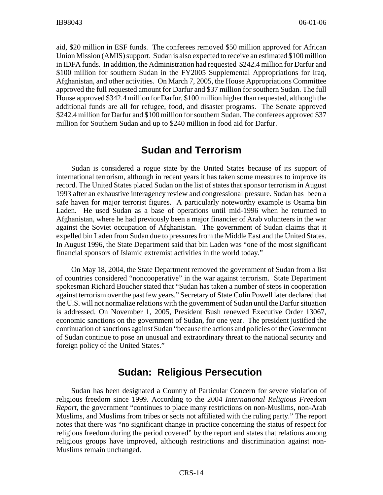aid, \$20 million in ESF funds. The conferees removed \$50 million approved for African Union Mission (AMIS) support. Sudan is also expected to receive an estimated \$100 million in IDFA funds. In addition, the Administration had requested \$242.4 million for Darfur and \$100 million for southern Sudan in the FY2005 Supplemental Appropriations for Iraq, Afghanistan, and other activities. On March 7, 2005, the House Appropriations Committee approved the full requested amount for Darfur and \$37 million for southern Sudan. The full House approved \$342.4 million for Darfur, \$100 million higher than requested, although the additional funds are all for refugee, food, and disaster programs. The Senate approved \$242.4 million for Darfur and \$100 million for southern Sudan. The conferees approved \$37 million for Southern Sudan and up to \$240 million in food aid for Darfur.

# **Sudan and Terrorism**

Sudan is considered a rogue state by the United States because of its support of international terrorism, although in recent years it has taken some measures to improve its record. The United States placed Sudan on the list of states that sponsor terrorism in August 1993 after an exhaustive interagency review and congressional pressure. Sudan has been a safe haven for major terrorist figures. A particularly noteworthy example is Osama bin Laden. He used Sudan as a base of operations until mid-1996 when he returned to Afghanistan, where he had previously been a major financier of Arab volunteers in the war against the Soviet occupation of Afghanistan. The government of Sudan claims that it expelled bin Laden from Sudan due to pressures from the Middle East and the United States. In August 1996, the State Department said that bin Laden was "one of the most significant financial sponsors of Islamic extremist activities in the world today."

On May 18, 2004, the State Department removed the government of Sudan from a list of countries considered "noncooperative" in the war against terrorism. State Department spokesman Richard Boucher stated that "Sudan has taken a number of steps in cooperation against terrorism over the past few years." Secretary of State Colin Powell later declared that the U.S. will not normalize relations with the government of Sudan until the Darfur situation is addressed. On November 1, 2005, President Bush renewed Executive Order 13067, economic sanctions on the government of Sudan, for one year. The president justified the continuation of sanctions against Sudan "because the actions and policies of the Government of Sudan continue to pose an unusual and extraordinary threat to the national security and foreign policy of the United States."

# **Sudan: Religious Persecution**

Sudan has been designated a Country of Particular Concern for severe violation of religious freedom since 1999. According to the 2004 *International Religious Freedom Report*, the government "continues to place many restrictions on non-Muslims, non-Arab Muslims, and Muslims from tribes or sects not affiliated with the ruling party." The report notes that there was "no significant change in practice concerning the status of respect for religious freedom during the period covered" by the report and states that relations among religious groups have improved, although restrictions and discrimination against non-Muslims remain unchanged.